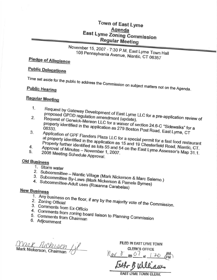### **Town of East Lyme** Agenda **East Lyme Zoning Commission Regular Meeting**

# November 15, 2007 - 7:30 P.M. East Lyme Town Hall 108 Pennsylvania Avenue, Niantic, CT 06357

## **Pledge of Allegiance**

## **Public Delegations**

**Public Hearing** 

Time set aside for the public to address the Commission on subject matters not on the Agenda.

## **Regular Meeting**

- 1. Request by Gateway Development of East Lyme LLC for a pre-application review of
- proposed GPDD regulation amendment (update).  $\overline{2}$ . Request of Gerwick-Mereen LLC for a waiver of section 24 6-C "Sidewalks" for a property identified in the application as 279 Boston Post Road, East Lyme, CT
- Application of GPF Flanders Plaza LLC for a special permit for a fast food restaurant 3. at property identified in the application as 15 and 19 Chesterfield Road, Niantic, CT.
- 4.
- Property further identified as lots 55 and 54 on the East Lyme Assessor's Map 31.1. 5. 2008 Meeting Schedule Approval.

## **Old Business**

- 1. Storm water
- 
- 2. Subcommittee Niantic Village (Mark Nickerson & Marc Salerno.)
- 3. Subcommittee By-Laws (Mark Nickerson & Pamela Byrnes) 4. Subcommittee-Adult uses (Rosanna Carabelas)

#### **New Business**

- 
- 1. Any business on the floor, if any by the majority vote of the Commission. 2. Zoning Official
- 
- 3. Comments from Ex-Officio
- 4. Comments from zoning board liaison to Planning Commission
- 6. Adjournment

Mark Ruckerson 11

FILED IN EAST LYME TOWN **CLERK'S OFFICE** 

New 8 20 07 at 1.20 AM

**EAST LYME TOWN CLERK**